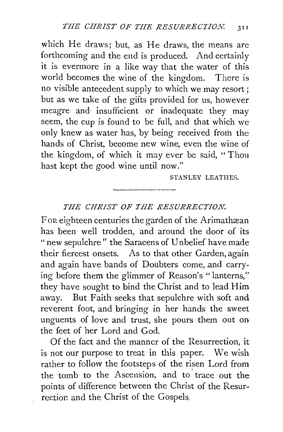which He draws; but, as He draws, the means are forthcoming and the end is produced. And certainly it is evermore in a like way that the water of this world becomes the wine of the kingdom. There is no visible antecedent supply to which we may resort; but as we take of the gifts provided for us, however meagre and insufficient or inadequate they may seem, the cup is found to be full, and that which we only knew as water has, by being received from the hands of Christ, become new wine, even the wine of the kingdom, of which it may ever be said, "Thou hast kept the good wine until now."

STANLEY LEATHES.

## *THE CHRIST OF THE RESURRECTION.*

For eighteen centuries the garden of the Arimathæan has been well trodden, and around the door of its "new sepulchre" the Saracens of U nbelief have made their fiercest onsets. As to that other Garden, again and again have bands of Doubters come, and carrying before them the glimmer of Reason's "lanterns," they have sought to bind the Christ and to lead Him away. But Faith seeks that sepulchre with soft and reverent foot, and bringing in her hands the sweet unguents of love and trust, she pours them out on the feet of her Lord and God.

Of the fact and the manner of the Resurrection, it is not our purpose to treat in this paper. We wish rather to follow the footsteps of the risen Lord from the tomb to the Ascension, and to trace out the points of difference between the Christ of the Resurrection and the Christ of the Gospels.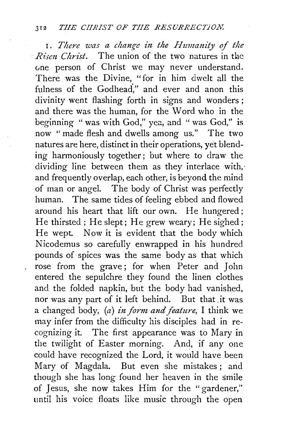1. There was a change in the Humanity of the *Risen Christ.* The union of the two natures in the vne person of Christ we may never understand. There was the Divine, "for in him dwelt all the fulness of the Godhead." and ever and anon this divinity went flashing forth in signs and wonders ; and there was the human, for the Word who in the beginning " was with God," yea, and " was God," is now " made flesh and dwells among us." The two natures are here, distinct in their operations, yet blending harmoniously together; but where to draw the dividing line between them as they interlace with,· and frequently overlap, each other, is beyond the mind of man or angel. The body of Christ was perfectly human. The same tides of feeling ebbed and flowed around his heart that lift our own. He hungered; He thirsted; He slept; He grew weary; He sighed; He wept. Now it is evident that the body which Nicodemus so carefully enwrapped in his hundred pounds of spices was the same body as that which rose from the grave; for when Peter and John entered the sepulchre they found the linen clothes and the folded napkin, but the body had vanished, nor was any part of it left behind. But that .it was a changed body, (a) in form and feature, I think we may infer from the difficulty his disciples had in recognizing it. The first appearance was to Mary in the twilight of Easter morning. And, if any one could have recognized the Lord, it would have been Mary of Magdala. But even she mistakes ; and though she has long found her heaven in the smile of Jesus, she now takes Him for the "gardener," until his voice floats like music through the open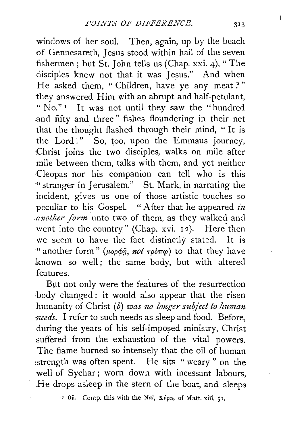windows of her soul. Then, again, up by the beach of Gennesareth, Jesus stood within hail of the seven fishermen; but St. John tells us (Chap. xxi. 4), "The disciples knew not that it was Jesus." And when He asked them, "Children, have ye any meat?" they answered Him with an abrupt and half-petulant, "No." 1 It was not until they saw the "hundred and fifty and three" fishes floundering in their net that the thought flashed through their mind, " It is the Lord!"  $\overline{\phantom{a}}$  So, too, upon the Emmaus journey, Christ joins the two disciples, walks on mile after mile between them, talks with them, and yet neither Cleopas nor his companion can tell who is this "stranger in Jerusalem." St. Mark, in narrating the incident, gives us one of those artistic touches so peculiar to his Gospel. "After that he appeared  $in$ *another form* unto two of them, as they walked and went into the country" (Chap. xvi. 12). Here then we seem to have the fact distinctly stated. It is " another form" ( $\mu$ op $\phi$ *n*, *not*  $\tau$ po $\pi$ <sup>o</sup>) to that they have :known so well; the same body, but with altered features.

But not only were the features of the resurrection body changed; it would also appear that the risen humanity of Christ (b) was no longer subject to human *needs.* I refer to such needs as sleep and food. Before, during the years of his self-imposed ministry, Christ suffered from the exhaustion of the vital powers. The flame burned so intensely that the oil of human :strength was often spent. He sits " weary " on the well of Sychar; worn down with incessant labours, He drops asleep in the stern of the boat, and sleeps

<sup>1</sup> Ov. Comp. this with the Nai, Kv<sub>pts</sub>, of Matt. xiii. 51.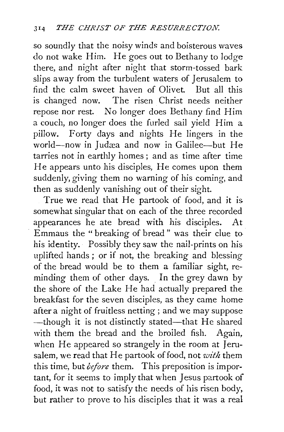so soundly that the noisy winds and boisterous waves do not wake Him. He goes out to Bethany to lodge there, and night after night that storm-tossed bark slips away from the turbulent waters of Jerusalem to find the calm sweet haven of Olivet. But all this is changed now. The risen Christ needs neither repose nor rest. No longer does Bethany find Him a couch, no longer does the furled sail yield Him a pillow. Forty days and nights He lingers in the world-now in Judæa and now in Galilee-but He tarries not in earthly homes; and as time after time He appears unto his disciples, He comes upon them suddenly, giving them no warning of his coming, and then as suddenly vanishing out of their sight.

True we read that He partook of food, and it is somewhat singular that on each of the three recorded appearances he ate bread with his disciples. At Emmaus the " breaking of bread" was their clue to his identity. Possibly they saw the nail-prints on his uplifted hands; or if not, the breaking and blessing of the bread would be to them a familiar sight, reminding them of other days. In the grey dawn by the shore of the Lake He had actually prepared the breakfast for the seven disciples, as they came home after a night of fruitless netting ; and we may suppose -though it is not distinctly stated-that He shared with them the bread and the broiled fish. Again, when He appeared so strangely in the room at Jerusalem, we read that He partook of food, not *with* them this time, but *defore* them. This preposition is important, for it seems to imply that when Jesus partook of food, it was not to satisfy the needs of his risen body,. but rather to prove to his disciples that it was a real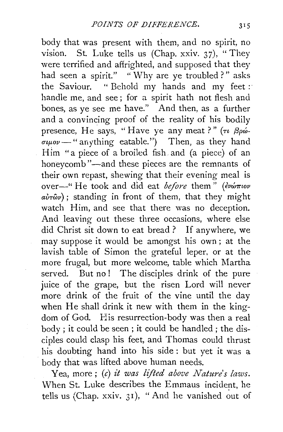body that was present with them, and no spirit, no vision. St. Luke tells us  $(Chap. xxiv. 37)$ , "They were terrified and affrighted, and supposed that they had seen a spirit." "Why are ye troubled?" asks the Saviour. "Behold my hands and my feet : handle me, and see; for a spirit hath not flesh and bones, as ye see me have." And then, as a further and a convincing proof of the reality of his bodily presence, He says, "Have ye any meat ?"  $(\tau \beta \rho \omega \sigma \mu \omega -$ " anything eatable.") Then, as they hand Him "a piece of a broiled fish. and (a piece) of an honeycomb"-and these pieces are the remnants of their own repast, shewing that their evening meal is over-" He took and did eat *before* them" (ενώπιον  $a\dot{v}\tau\hat{\omega}\nu$ ; standing in front of them, that they might watch Him, and see that there was no deception. And leaving out these three occasions, where else did Christ sit down to eat bread ? If anywhere, we may suppose it would be amongst his own; at the lavish table of Simon the grateful leper, or at the more frugal, but more welcome, table which Martha served. But no! The disciples drink of the pure juice of the grape, but the risen Lord will never more drink of the fruit of the vine until the day when He shall drink it new with them in the kingdom of God. His resurrection-body was then a real body ; it could be seen ; it could be handled ; the disciples could clasp his feet, and Thomas could thrust his doubting hand into his side: but yet it was a body that was lifted above human needs.

Yea, more; (c) *it was lifted above Nature's laws.*  When St. Luke describes the Emmaus incident, he tells us (Chap. xxiv.  $31$ ), "And he vanished out of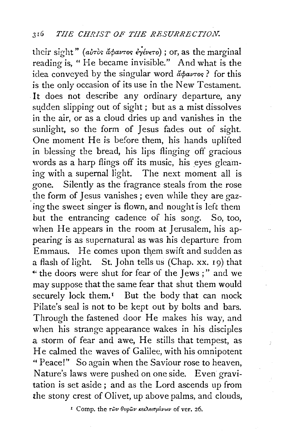their sight" (airòs apavros eyevero); or, as the marginal reading is, "He became invisible." And what is the idea conveyed by the singular word  $\phi$ *avToc*? for this is the only occasion of its use in the New Testament. It does not describe any ordinary departure, any sudden slipping out of sight; but as a mist dissolves in the air, or as a cloud dries up and vanishes in the sunlight, so the form of Jesus fades out of sight. One moment He is before them, his hands uplifted in blessing the bread, his lips flinging off gracious words as a harp flings off its music, his eyes gleaming with a supernal light. The next moment all is gone. Silently as the fragrance steals from the rose the form of Jesus vanishes ; even while they are gazing the sweet singer is flown, and nought is left them but the entrancing cadence of his song. So, too, when He appears in the room at Jerusalem, his appearing is as supernatural as was his departure from Emmaus. He comes upon them swift and sudden as a flash of light. St. John tells us (Chap. xx. 1 9) that ~· the doors were shut for fear of the Jews ; " and we may suppose that the same fear that shut them would securely lock them.<sup> $I$ </sup> But the body that can mock Pilate's seal is not to be kept out by bolts and bars. Through the fastened door He makes his way, and when his strange appearance wakes in his disciples a storm of fear and awe, He stills that tempest, as He calmed the waves of Galilee, with his omnipotent "Peace!" So again when the Saviour rose to heaven, Nature's laws were pushed on one side. Even gravitation is set aside ; and as the Lord ascends up from the stony crest of Olivet, up above palms, and clouds,

<sup>1</sup> Comp. the  $τ\tilde{ω}ν$  θυρῶν κεκλεισμένων of ver. 26.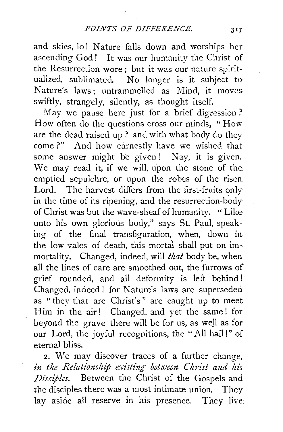and skies, lo! Nature falls down and worships her ascending God! It was our humanity the Christ of the Resurrection wore; but it was our nature spiritualized, sublimated. No longer is it subject to Nature's laws; untrammelled as Mind, it moves swiftly, strangely, silently, as thought itself.

May we pause here just for a brief digression? How often do the questions cross our minds, "How are the dead raised up? and with what body do they come?" And how earnestly have we wished that some answer might be given! Nay, it is given. We may read it, if we will, upon the stone of the emptied sepulchre, or upon the robes of the risen Lord. The harvest differs from the first-fruits only in the time of its ripening, and the resurrection-body of Christ was but the wave-sheaf of humanity. " Like unto his own glorious body," says St. Paul, speaking of the final transfiguration, when, down in, the low vales of death, this mortal shall put on immortality. Changed, indeed, will *that* body be, when all the lines of care are smoothed out, the furrows of grief rounded, and all deformity is left behind! Changed, indeed! for Nature's laws are superseded as "they that are Christ's" are caught up to meet Him in the air! Changed, and yet the same! for beyond the grave there will be for us, as well as for our Lord, the joyful recognitions, the "All hail!" of eternal bliss.

2. We may discover traces of a further change, in the Relationship existing between Christ and his *Disciples.* Between the Christ of the Gospels and the disciples there was a most intimate union. They lay aside all reserve in his presence. They live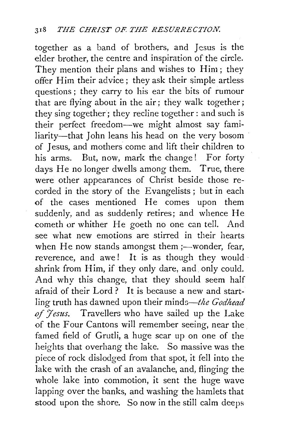together as a band of brothers, and Jesus is the elder brother, the centre and inspiration of the circle. They mention their plans and wishes to Him; they offer Him their advice; they ask their simple artless questions ; they carry to his ear the bits of rumour that are flying about in the air; they walk together; they sing together; they recline together : and such is their perfect freedom-we might almost say familiarity-that John leans his head on the very bosom of Jesus, and mothers come and lift their children to his arms. But, now, mark the change! For forty days He no longer dwells among them. True, there were other appearances of Christ beside those recorded in the story of the Evangelists ; but in each of the cases mentioned He comes upon them suddenly, and as suddenly retires; and whence He cometh or whither He goeth no one can tell. And see what new emotions are stirred in their hearts when He now stands amongst them ;- wonder, fear, reverence, and awe! It is as though they would shrink from Him, if they only dare, and only could. And why this change, that they should seem half afraid of their Lord? It is because a new and startling truth has dawned upon their *minds-the Godhead*  of *Jesus*. Travellers who have sailed up the Lake of the Four Cantons will remember seeing, near the. famed field of Grutli, a huge scar up on one of the heights that overhang the lake. So massive was the piece of rock dislodged from that spot, it fell into the lake with the crash of an avalanche, and, flinging the whole lake into commotion, it sent the huge wave lapping over the banks, and washing the hamlets that stood upon the shore. So now in the still calm deeps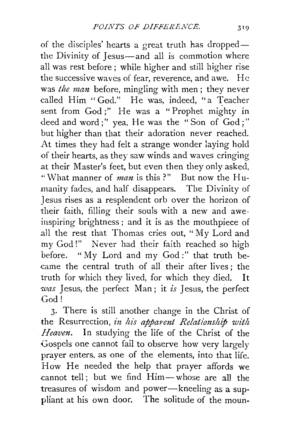of the disciples' hearts a great truth has droppedthe Divinity of Jesus—and all is commotion where all was rest before; while higher and still higher rise the successive waves of fear, reverence, and awe. He was *the man* before, mingling with men; they never called Him "God." He was, indeed, "a Teacher sent from God;" He was a "Prophet mighty in deed and word;" yea, He was the "Son of God;" but higher than that their adoration never reached. At times they had felt a strange wonder laying hold of their hearts, as they saw winds and waves cringing at their Master's feet, but even then they only asked, "What manner of *man* is this?" But now the Humanity fades, and half disappears. The Divinity of Jesus rises as a resplendent orb over the horizon of their faith, filling their souls with a new and aweinspiring brightness; and it is as the mouthpiece of all the rest that Thomas cries out, " My Lord and my God!" Never had their faith reached so high before. "My Lord and my God:" that truth became the central truth of all their after lives; the truth for which they lived, for which they died. It *was* Jesus,. the perfect Man ; it *is* Jesus, the perfect God!

3· There is still another change in the Christ of the Resurrection, in his apparent Relationship with *Heaven.* In studying the life of the Christ of the Gospels one cannot fail to observe how very largely prayer enters, as one of the elements, into that life. How He needed the help that prayer affords we cannot tell; but we find Him-whose are all the treasures of wisdom and power-kneeling as a suppliant at his own door. The solitude of the moun-